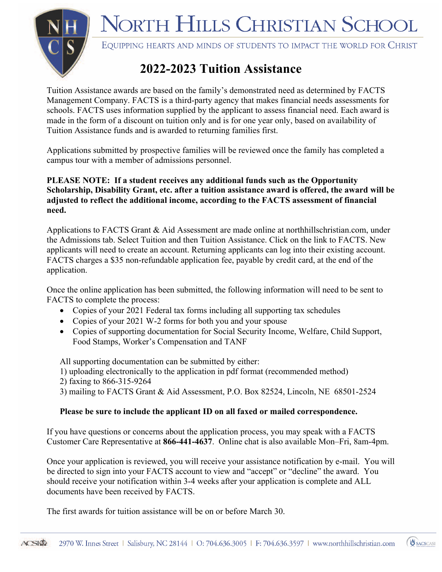NORTH HILLS CHRISTIAN SCHOOL



EQUIPPING HEARTS AND MINDS OF STUDENTS TO IMPACT THE WORLD FOR CHRIST

## **2022-2023 Tuition Assistance**

Tuition Assistance awards are based on the family's demonstrated need as determined by FACTS Management Company. FACTS is a third-party agency that makes financial needs assessments for schools. FACTS uses information supplied by the applicant to assess financial need. Each award is made in the form of a discount on tuition only and is for one year only, based on availability of Tuition Assistance funds and is awarded to returning families first.

Applications submitted by prospective families will be reviewed once the family has completed a campus tour with a member of admissions personnel.

**PLEASE NOTE: If a student receives any additional funds such as the Opportunity Scholarship, Disability Grant, etc. after a tuition assistance award is offered, the award will be adjusted to reflect the additional income, according to the FACTS assessment of financial need.**

Applications to FACTS Grant & Aid Assessment are made online at northhillschristian.com, under the Admissions tab. Select Tuition and then Tuition Assistance. Click on the link to FACTS. New applicants will need to create an account. Returning applicants can log into their existing account. FACTS charges a \$35 non-refundable application fee, payable by credit card, at the end of the application.

Once the online application has been submitted, the following information will need to be sent to FACTS to complete the process:

- Copies of your 2021 Federal tax forms including all supporting tax schedules
- Copies of your 2021 W-2 forms for both you and your spouse
- Copies of supporting documentation for Social Security Income, Welfare, Child Support, Food Stamps, Worker's Compensation and TANF

All supporting documentation can be submitted by either:

- 1) uploading electronically to the application in pdf format (recommended method)
- 2) faxing to 866-315-9264

3) mailing to FACTS Grant & Aid Assessment, P.O. Box 82524, Lincoln, NE 68501-2524

### **Please be sure to include the applicant ID on all faxed or mailed correspondence.**

If you have questions or concerns about the application process, you may speak with a FACTS Customer Care Representative at **866-441-4637**. Online chat is also available Mon–Fri, 8am-4pm.

Once your application is reviewed, you will receive your assistance notification by e-mail. You will be directed to sign into your FACTS account to view and "accept" or "decline" the award. You should receive your notification within 3-4 weeks after your application is complete and ALL documents have been received by FACTS.

The first awards for tuition assistance will be on or before March 30.